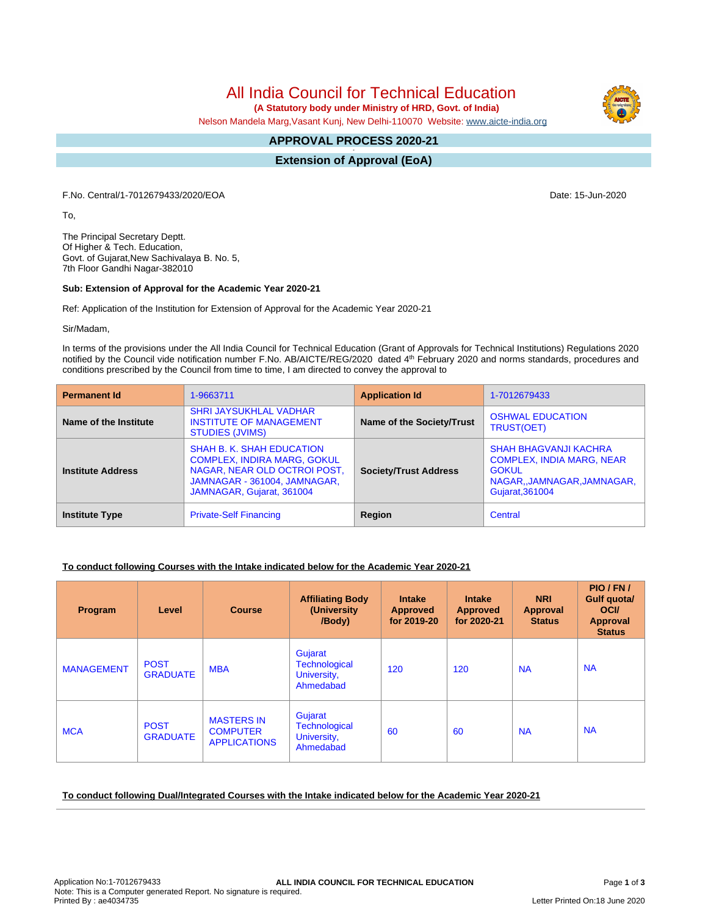All India Council for Technical Education

 **(A Statutory body under Ministry of HRD, Govt. of India)**

Nelson Mandela Marg,Vasant Kunj, New Delhi-110070 Website: [www.aicte-india.org](http://www.aicte-india.org)

#### **APPROVAL PROCESS 2020-21 -**

**Extension of Approval (EoA)**

F.No. Central/1-7012679433/2020/EOA Date: 15-Jun-2020

To,

The Principal Secretary Deptt. Of Higher & Tech. Education, Govt. of Gujarat,New Sachivalaya B. No. 5, 7th Floor Gandhi Nagar-382010

### **Sub: Extension of Approval for the Academic Year 2020-21**

Ref: Application of the Institution for Extension of Approval for the Academic Year 2020-21

Sir/Madam,

In terms of the provisions under the All India Council for Technical Education (Grant of Approvals for Technical Institutions) Regulations 2020 notified by the Council vide notification number F.No. AB/AICTE/REG/2020 dated 4<sup>th</sup> February 2020 and norms standards, procedures and conditions prescribed by the Council from time to time, I am directed to convey the approval to

| <b>Permanent Id</b>      | 1-9663711                                                                                                                                                    | <b>Application Id</b>        | 1-7012679433                                                                                                                     |  |
|--------------------------|--------------------------------------------------------------------------------------------------------------------------------------------------------------|------------------------------|----------------------------------------------------------------------------------------------------------------------------------|--|
| Name of the Institute    | <b>SHRI JAYSUKHLAL VADHAR</b><br><b>INSTITUTE OF MANAGEMENT</b><br>STUDIES (JVIMS)                                                                           | Name of the Society/Trust    | <b>OSHWAL EDUCATION</b><br>TRUST(OET)                                                                                            |  |
| <b>Institute Address</b> | SHAH B. K. SHAH EDUCATION<br><b>COMPLEX. INDIRA MARG. GOKUL</b><br>NAGAR, NEAR OLD OCTROI POST,<br>JAMNAGAR - 361004, JAMNAGAR,<br>JAMNAGAR, Gujarat, 361004 | <b>Society/Trust Address</b> | <b>SHAH BHAGVANJI KACHRA</b><br><b>COMPLEX, INDIA MARG, NEAR</b><br><b>GOKUL</b><br>NAGAR,,JAMNAGAR,JAMNAGAR,<br>Gujarat, 361004 |  |
| <b>Institute Type</b>    | <b>Private-Self Financing</b>                                                                                                                                | Region                       | Central                                                                                                                          |  |

# **To conduct following Courses with the Intake indicated below for the Academic Year 2020-21**

| Program           | Level                          | <b>Course</b>                                               | <b>Affiliating Body</b><br>(University<br>/Body)            | <b>Intake</b><br><b>Approved</b><br>for 2019-20 | <b>Intake</b><br><b>Approved</b><br>for 2020-21 | <b>NRI</b><br>Approval<br><b>Status</b> | PIO/FN/<br>Gulf quota/<br><b>OCI</b><br><b>Approval</b><br><b>Status</b> |
|-------------------|--------------------------------|-------------------------------------------------------------|-------------------------------------------------------------|-------------------------------------------------|-------------------------------------------------|-----------------------------------------|--------------------------------------------------------------------------|
| <b>MANAGEMENT</b> | <b>POST</b><br><b>GRADUATE</b> | <b>MBA</b>                                                  | Gujarat<br><b>Technological</b><br>University,<br>Ahmedabad | 120                                             | 120                                             | <b>NA</b>                               | <b>NA</b>                                                                |
| <b>MCA</b>        | <b>POST</b><br><b>GRADUATE</b> | <b>MASTERS IN</b><br><b>COMPUTER</b><br><b>APPLICATIONS</b> | Gujarat<br><b>Technological</b><br>University,<br>Ahmedabad | 60                                              | 60                                              | <b>NA</b>                               | <b>NA</b>                                                                |

### **To conduct following Dual/Integrated Courses with the Intake indicated below for the Academic Year 2020-21**



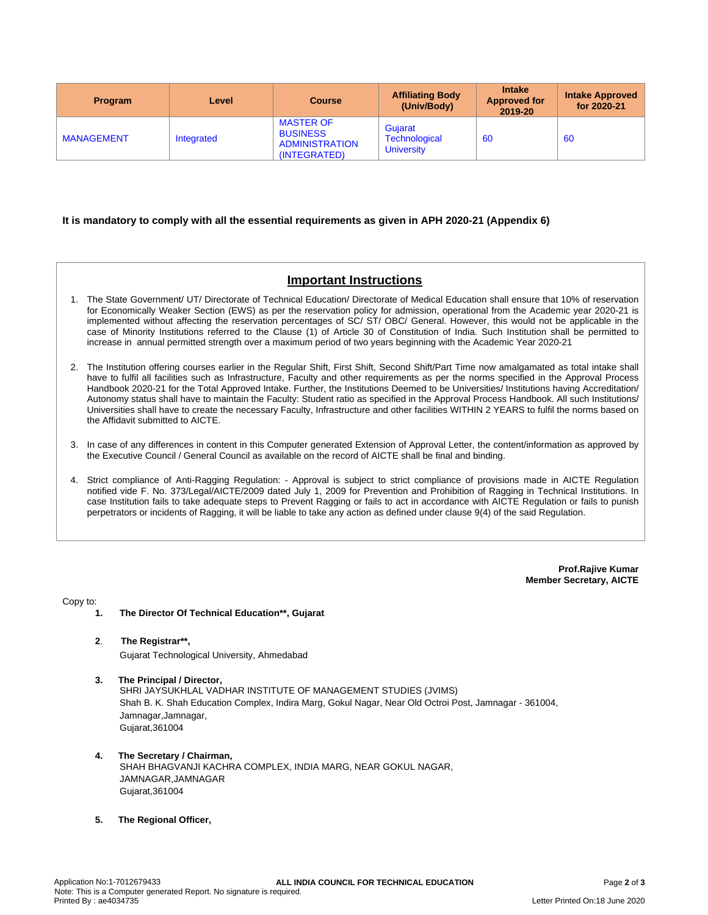| Program           | Level      | <b>Course</b>                                                                | <b>Affiliating Body</b><br>(Univ/Body)        | <b>Intake</b><br><b>Approved for</b><br>2019-20 | <b>Intake Approved</b><br>for 2020-21 |
|-------------------|------------|------------------------------------------------------------------------------|-----------------------------------------------|-------------------------------------------------|---------------------------------------|
| <b>MANAGEMENT</b> | Integrated | <b>MASTER OF</b><br><b>BUSINESS</b><br><b>ADMINISTRATION</b><br>(INTEGRATED) | Gujarat<br>Technological<br><b>University</b> | 60                                              | 60                                    |

# **It is mandatory to comply with all the essential requirements as given in APH 2020-21 (Appendix 6)**

# **Important Instructions**

- 1. The State Government/ UT/ Directorate of Technical Education/ Directorate of Medical Education shall ensure that 10% of reservation for Economically Weaker Section (EWS) as per the reservation policy for admission, operational from the Academic year 2020-21 is implemented without affecting the reservation percentages of SC/ ST/ OBC/ General. However, this would not be applicable in the case of Minority Institutions referred to the Clause (1) of Article 30 of Constitution of India. Such Institution shall be permitted to increase in annual permitted strength over a maximum period of two years beginning with the Academic Year 2020-21
- 2. The Institution offering courses earlier in the Regular Shift, First Shift, Second Shift/Part Time now amalgamated as total intake shall have to fulfil all facilities such as Infrastructure, Faculty and other requirements as per the norms specified in the Approval Process Handbook 2020-21 for the Total Approved Intake. Further, the Institutions Deemed to be Universities/ Institutions having Accreditation/ Autonomy status shall have to maintain the Faculty: Student ratio as specified in the Approval Process Handbook. All such Institutions/ Universities shall have to create the necessary Faculty, Infrastructure and other facilities WITHIN 2 YEARS to fulfil the norms based on the Affidavit submitted to AICTE.
- 3. In case of any differences in content in this Computer generated Extension of Approval Letter, the content/information as approved by the Executive Council / General Council as available on the record of AICTE shall be final and binding.
- 4. Strict compliance of Anti-Ragging Regulation: Approval is subject to strict compliance of provisions made in AICTE Regulation notified vide F. No. 373/Legal/AICTE/2009 dated July 1, 2009 for Prevention and Prohibition of Ragging in Technical Institutions. In case Institution fails to take adequate steps to Prevent Ragging or fails to act in accordance with AICTE Regulation or fails to punish perpetrators or incidents of Ragging, it will be liable to take any action as defined under clause 9(4) of the said Regulation.

**Prof.Rajive Kumar Member Secretary, AICTE**

Copy to:

- **1. The Director Of Technical Education\*\*, Gujarat**
- **2**. **The Registrar\*\*,** Gujarat Technological University, Ahmedabad
- **3. The Principal / Director,** SHRI JAYSUKHLAL VADHAR INSTITUTE OF MANAGEMENT STUDIES (JVIMS) Shah B. K. Shah Education Complex, Indira Marg, Gokul Nagar, Near Old Octroi Post, Jamnagar - 361004, Jamnagar,Jamnagar, Gujarat,361004
- **4. The Secretary / Chairman,** SHAH BHAGVANJI KACHRA COMPLEX, INDIA MARG, NEAR GOKUL NAGAR, JAMNAGAR,JAMNAGAR Gujarat,361004
- **5. The Regional Officer,**